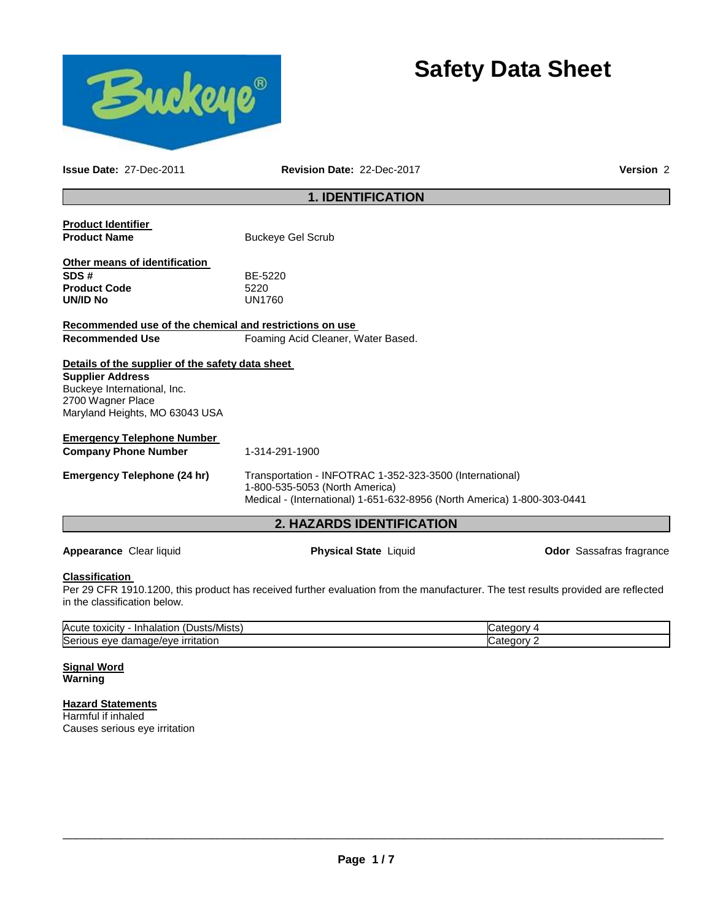



**Issue Date:** 27-Dec-2011 **Revision Date:** 22-Dec-2017 **Version** 2

## **1. IDENTIFICATION**

| Product Identifier<br><b>Product Name</b>                                                                     | <b>Buckeye Gel Scrub</b>                                                                                                                                              |                                 |
|---------------------------------------------------------------------------------------------------------------|-----------------------------------------------------------------------------------------------------------------------------------------------------------------------|---------------------------------|
| Other means of identification<br>SDS#<br><b>Product Code</b><br>UN/ID No                                      | BE-5220<br>5220<br><b>UN1760</b>                                                                                                                                      |                                 |
| Recommended use of the chemical and restrictions on use                                                       |                                                                                                                                                                       |                                 |
| <b>Recommended Use</b>                                                                                        | Foaming Acid Cleaner, Water Based.                                                                                                                                    |                                 |
| Details of the supplier of the safety data sheet                                                              |                                                                                                                                                                       |                                 |
| <b>Supplier Address</b><br>Buckeye International, Inc.<br>2700 Wagner Place<br>Maryland Heights, MO 63043 USA |                                                                                                                                                                       |                                 |
| <u>Emergency Telephone Number</u>                                                                             |                                                                                                                                                                       |                                 |
| <b>Company Phone Number</b>                                                                                   | 1-314-291-1900                                                                                                                                                        |                                 |
| Emergency Telephone (24 hr)                                                                                   | Transportation - INFOTRAC 1-352-323-3500 (International)<br>1-800-535-5053 (North America)<br>Medical - (International) 1-651-632-8956 (North America) 1-800-303-0441 |                                 |
|                                                                                                               | <b>2. HAZARDS IDENTIFICATION</b>                                                                                                                                      |                                 |
| Appearance Clear liquid                                                                                       | <b>Physical State Liquid</b>                                                                                                                                          | <b>Odor</b> Sassafras fragrance |

## **Classification**

Per 29 CFR 1910.1200, this product has received further evaluation from the manufacturer. The test results provided are reflected in the classification below.

| .<br>Acute<br>sts/Mists.<br>toxicity<br><b>Inhalatior</b><br>⊣ (Dusts∧       | atones i |
|------------------------------------------------------------------------------|----------|
| Seriou<br><u>ırrıtatıor</u><br>damage/eve<br>eve<br>$\overline{\phantom{a}}$ | شatedor∨ |

#### **Signal Word Warning**

## **Hazard Statements**

Harmful if inhaled Causes serious eye irritation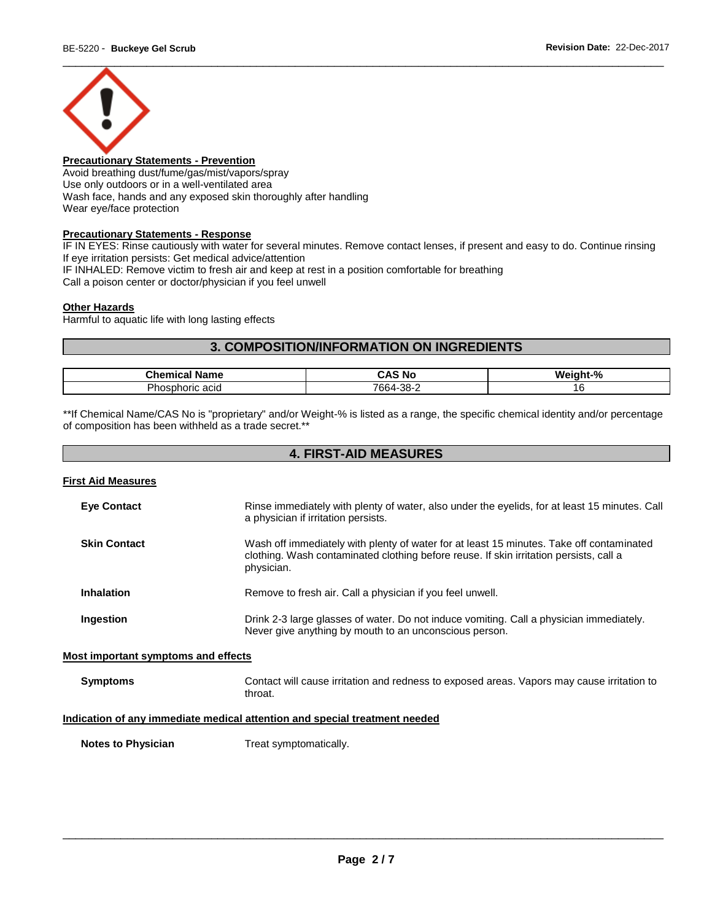

## **Precautionary Statements - Prevention**

Avoid breathing dust/fume/gas/mist/vapors/spray Use only outdoors or in a well-ventilated area Wash face, hands and any exposed skin thoroughly after handling Wear eye/face protection

#### **Precautionary Statements - Response**

IF IN EYES: Rinse cautiously with water for several minutes. Remove contact lenses, if present and easy to do. Continue rinsing If eye irritation persists: Get medical advice/attention IF INHALED: Remove victim to fresh air and keep at rest in a position comfortable for breathing Call a poison center or doctor/physician if you feel unwell

\_\_\_\_\_\_\_\_\_\_\_\_\_\_\_\_\_\_\_\_\_\_\_\_\_\_\_\_\_\_\_\_\_\_\_\_\_\_\_\_\_\_\_\_\_\_\_\_\_\_\_\_\_\_\_\_\_\_\_\_\_\_\_\_\_\_\_\_\_\_\_\_\_\_\_\_\_\_\_\_\_\_\_\_\_\_\_\_\_\_\_\_\_

## **Other Hazards**

Harmful to aquatic life with long lasting effects

## **3. COMPOSITION/INFORMATION ON INGREDIENTS**

| <b>Chemica</b><br>.<br>ame             | ` No<br>CAS          | $\mathbf{a}$<br>Weiah |
|----------------------------------------|----------------------|-----------------------|
| Phos⊾<br>acid<br>ົ <sup>າ</sup> SDNONU | 7664-<br>ററ<br>-ג−סכ | U                     |

\*\*If Chemical Name/CAS No is "proprietary" and/or Weight-% is listed as a range, the specific chemical identity and/or percentage of composition has been withheld as a trade secret.\*\*

|                                     | <b>4. FIRST-AID MEASURES</b>                                                                                                                                                                     |
|-------------------------------------|--------------------------------------------------------------------------------------------------------------------------------------------------------------------------------------------------|
| <b>First Aid Measures</b>           |                                                                                                                                                                                                  |
| <b>Eye Contact</b>                  | Rinse immediately with plenty of water, also under the eyelids, for at least 15 minutes. Call<br>a physician if irritation persists.                                                             |
| <b>Skin Contact</b>                 | Wash off immediately with plenty of water for at least 15 minutes. Take off contaminated<br>clothing. Wash contaminated clothing before reuse. If skin irritation persists, call a<br>physician. |
| <b>Inhalation</b>                   | Remove to fresh air. Call a physician if you feel unwell.                                                                                                                                        |
| Ingestion                           | Drink 2-3 large glasses of water. Do not induce vomiting. Call a physician immediately.<br>Never give anything by mouth to an unconscious person.                                                |
| Most important symptoms and effects |                                                                                                                                                                                                  |
| <b>Symptoms</b>                     | Contact will cause irritation and redness to exposed areas. Vapors may cause irritation to<br>throat.                                                                                            |
|                                     | Indication of any immediate medical attention and special treatment needed                                                                                                                       |
| <b>Notes to Physician</b>           | Treat symptomatically.                                                                                                                                                                           |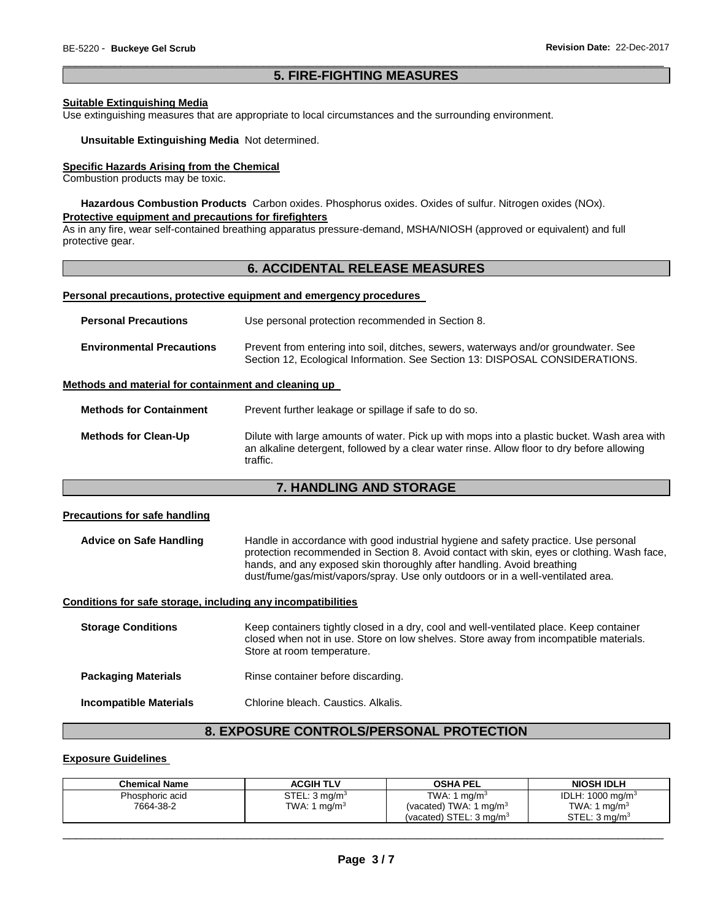## \_\_\_\_\_\_\_\_\_\_\_\_\_\_\_\_\_\_\_\_\_\_\_\_\_\_\_\_\_\_\_\_\_\_\_\_\_\_\_\_\_\_\_\_\_\_\_\_\_\_\_\_\_\_\_\_\_\_\_\_\_\_\_\_\_\_\_\_\_\_\_\_\_\_\_\_\_\_\_\_\_\_\_\_\_\_\_\_\_\_\_\_\_ **5. FIRE-FIGHTING MEASURES**

## **Suitable Extinguishing Media**

Use extinguishing measures that are appropriate to local circumstances and the surrounding environment.

#### **Unsuitable Extinguishing Media** Not determined.

## **Specific Hazards Arising from the Chemical**

Combustion products may be toxic.

**Hazardous Combustion Products** Carbon oxides. Phosphorus oxides. Oxides of sulfur. Nitrogen oxides (NOx). **Protective equipment and precautions for firefighters**

As in any fire, wear self-contained breathing apparatus pressure-demand, MSHA/NIOSH (approved or equivalent) and full protective gear.

## **6. ACCIDENTAL RELEASE MEASURES**

#### **Personal precautions, protective equipment and emergency procedures**

| <b>Personal Precautions</b>      | Use personal protection recommended in Section 8.                                                                                                                   |
|----------------------------------|---------------------------------------------------------------------------------------------------------------------------------------------------------------------|
| <b>Environmental Precautions</b> | Prevent from entering into soil, ditches, sewers, waterways and/or groundwater. See<br>Section 12, Ecological Information. See Section 13: DISPOSAL CONSIDERATIONS. |

#### **Methods and material for containment and cleaning up**

| <b>Methods for Containment</b> | Prevent further leakage or spillage if safe to do so.                                                                                                                                                 |
|--------------------------------|-------------------------------------------------------------------------------------------------------------------------------------------------------------------------------------------------------|
| <b>Methods for Clean-Up</b>    | Dilute with large amounts of water. Pick up with mops into a plastic bucket. Wash area with<br>an alkaline detergent, followed by a clear water rinse. Allow floor to dry before allowing<br>traffic. |

## **7. HANDLING AND STORAGE**

## **Precautions for safe handling**

**Advice on Safe Handling** Handle in accordance with good industrial hygiene and safety practice. Use personal protection recommended in Section 8. Avoid contact with skin, eyes or clothing. Wash face, hands, and any exposed skin thoroughly after handling. Avoid breathing dust/fume/gas/mist/vapors/spray. Use only outdoors or in a well-ventilated area.

## **Conditions for safe storage, including any incompatibilities**

| <b>Storage Conditions</b>     | Keep containers tightly closed in a dry, cool and well-ventilated place. Keep container<br>closed when not in use. Store on low shelves. Store away from incompatible materials.<br>Store at room temperature. |
|-------------------------------|----------------------------------------------------------------------------------------------------------------------------------------------------------------------------------------------------------------|
| <b>Packaging Materials</b>    | Rinse container before discarding.                                                                                                                                                                             |
| <b>Incompatible Materials</b> | Chlorine bleach, Caustics, Alkalis,                                                                                                                                                                            |

# **8. EXPOSURE CONTROLS/PERSONAL PROTECTION**

#### **Exposure Guidelines**

| <b>Chemical Name</b>         | <b>ACGIH TLV</b>                                      | <b>OSHA PEL</b>                                                                  | <b>NIOSH IDLH</b>                                                                   |
|------------------------------|-------------------------------------------------------|----------------------------------------------------------------------------------|-------------------------------------------------------------------------------------|
| Phosphoric acid<br>7664-38-2 | STEL: 3 mg/m <sup>3</sup><br>TWA: 1 mg/m <sup>3</sup> | TWA: 1 $mq/m3$<br>(vacated) TWA: 1 $mq/m3$<br>(vacated) STEL: $3 \text{ ma/m}^3$ | IDLH: $1000 \text{ mg/m}^3$<br>TWA: 1 mg/m <sup>3</sup><br>STEL: $3 \text{ ma/m}^3$ |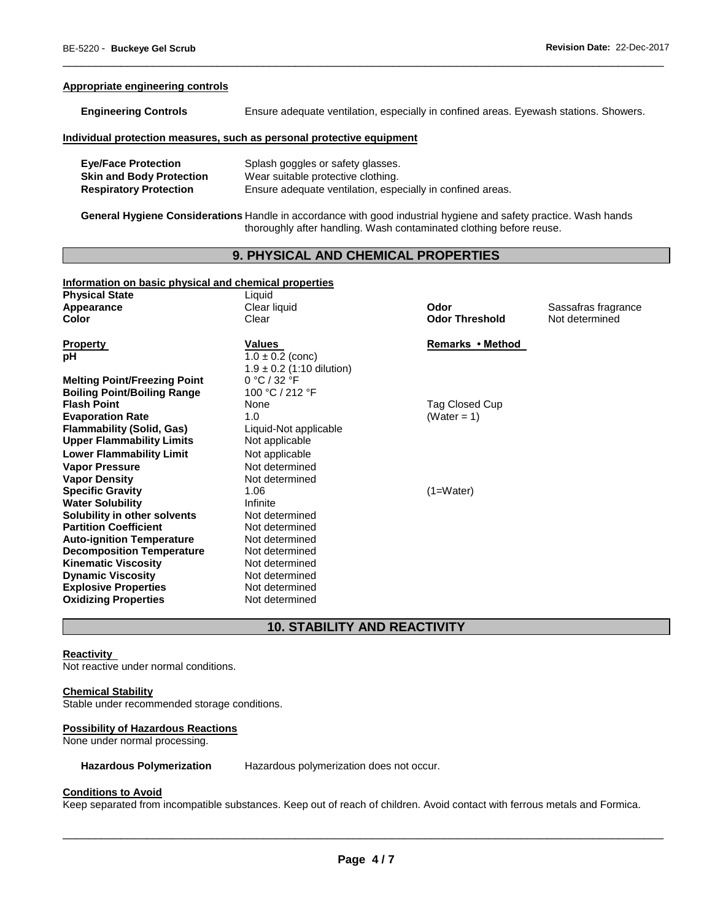#### **Appropriate engineering controls**

| <b>Engineering Controls</b> |  | Ensure adequate ventilation, especially in confined areas. Eyewash stations. Showers. |
|-----------------------------|--|---------------------------------------------------------------------------------------|
|                             |  |                                                                                       |

\_\_\_\_\_\_\_\_\_\_\_\_\_\_\_\_\_\_\_\_\_\_\_\_\_\_\_\_\_\_\_\_\_\_\_\_\_\_\_\_\_\_\_\_\_\_\_\_\_\_\_\_\_\_\_\_\_\_\_\_\_\_\_\_\_\_\_\_\_\_\_\_\_\_\_\_\_\_\_\_\_\_\_\_\_\_\_\_\_\_\_\_\_

### **Individual protection measures, such as personal protective equipment**

| <b>Eye/Face Protection</b>      | Splash goggles or safety glasses.                          |
|---------------------------------|------------------------------------------------------------|
| <b>Skin and Body Protection</b> | Wear suitable protective clothing.                         |
| <b>Respiratory Protection</b>   | Ensure adequate ventilation, especially in confined areas. |

**General Hygiene Considerations** Handle in accordance with good industrial hygiene and safety practice. Wash hands thoroughly after handling. Wash contaminated clothing before reuse.

## **9. PHYSICAL AND CHEMICAL PROPERTIES**

# **Information on basic physical and chemical properties**

| <b>Physical State</b>               | Liquid                        |                       |                     |
|-------------------------------------|-------------------------------|-----------------------|---------------------|
| Appearance                          | Clear liquid                  | Odor                  | Sassafras fragrance |
| Color                               | Clear                         | <b>Odor Threshold</b> | Not determined      |
| <b>Property</b>                     | <b>Values</b>                 | Remarks • Method      |                     |
| рH                                  | $1.0 \pm 0.2$ (conc)          |                       |                     |
|                                     | $1.9 \pm 0.2$ (1:10 dilution) |                       |                     |
| <b>Melting Point/Freezing Point</b> | 0 °C / 32 °F                  |                       |                     |
| <b>Boiling Point/Boiling Range</b>  | 100 °C / 212 °F               |                       |                     |
| <b>Flash Point</b>                  | None                          | Tag Closed Cup        |                     |
| <b>Evaporation Rate</b>             | 1.0                           | (Water = 1)           |                     |
| <b>Flammability (Solid, Gas)</b>    | Liquid-Not applicable         |                       |                     |
| <b>Upper Flammability Limits</b>    | Not applicable                |                       |                     |
| <b>Lower Flammability Limit</b>     | Not applicable                |                       |                     |
| <b>Vapor Pressure</b>               | Not determined                |                       |                     |
| <b>Vapor Density</b>                | Not determined                |                       |                     |
| <b>Specific Gravity</b>             | 1.06                          | $(1=Water)$           |                     |
| <b>Water Solubility</b>             | Infinite                      |                       |                     |
| Solubility in other solvents        | Not determined                |                       |                     |
| <b>Partition Coefficient</b>        | Not determined                |                       |                     |
| <b>Auto-ignition Temperature</b>    | Not determined                |                       |                     |
| <b>Decomposition Temperature</b>    | Not determined                |                       |                     |
| <b>Kinematic Viscosity</b>          | Not determined                |                       |                     |
| <b>Dynamic Viscosity</b>            | Not determined                |                       |                     |
| <b>Explosive Properties</b>         | Not determined                |                       |                     |
| <b>Oxidizing Properties</b>         | Not determined                |                       |                     |

## **10. STABILITY AND REACTIVITY**

## **Reactivity**

Not reactive under normal conditions.

### **Chemical Stability**

Stable under recommended storage conditions.

## **Possibility of Hazardous Reactions**

None under normal processing.

**Hazardous Polymerization** Hazardous polymerization does not occur.

#### **Conditions to Avoid**

Keep separated from incompatible substances. Keep out of reach of children. Avoid contact with ferrous metals and Formica.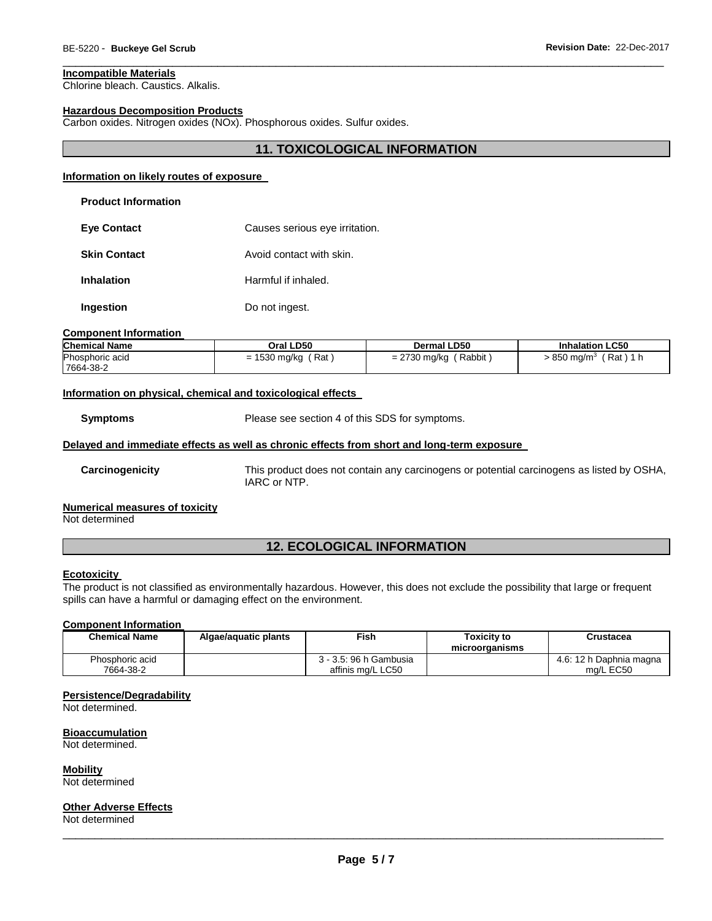## **Incompatible Materials**

Chlorine bleach. Caustics. Alkalis.

#### **Hazardous Decomposition Products**

Carbon oxides. Nitrogen oxides (NOx). Phosphorous oxides. Sulfur oxides.

## **11. TOXICOLOGICAL INFORMATION**

\_\_\_\_\_\_\_\_\_\_\_\_\_\_\_\_\_\_\_\_\_\_\_\_\_\_\_\_\_\_\_\_\_\_\_\_\_\_\_\_\_\_\_\_\_\_\_\_\_\_\_\_\_\_\_\_\_\_\_\_\_\_\_\_\_\_\_\_\_\_\_\_\_\_\_\_\_\_\_\_\_\_\_\_\_\_\_\_\_\_\_\_\_

## **Information on likely routes of exposure**

| <b>Product Information</b> |
|----------------------------|
|----------------------------|

| Eye Contact         | Causes serious eye irritation. |
|---------------------|--------------------------------|
| <b>Skin Contact</b> | Avoid contact with skin.       |

**Inhalation Harmful if inhaled.** 

**Ingestion Do not ingest.** 

#### **Component Information**

| Chemical Name                | Oral LD50            | Dermal LD50             | <b>Inhalation LC50</b>            |
|------------------------------|----------------------|-------------------------|-----------------------------------|
| Phosphoric acid<br>7664-38-2 | $= 1530$ mg/kg (Rat) | $= 2730$ mg/kg (Rabbit) | $(Rat)$ 1 h<br>$>850$ mg/m $^3\,$ |

#### **Information on physical, chemical and toxicological effects**

**Symptoms** Please see section 4 of this SDS for symptoms.

#### **Delayed and immediate effects as well as chronic effects from short and long-term exposure**

**Carcinogenicity** This product does not contain any carcinogens or potential carcinogens as listed by OSHA, IARC or NTP.

#### **Numerical measures of toxicity**

Not determined

# **12. ECOLOGICAL INFORMATION**

## **Ecotoxicity**

The product is not classified as environmentally hazardous. However, this does not exclude the possibility that large or frequent spills can have a harmful or damaging effect on the environment.

#### **Component Information**

| <b>Chemical Name</b>         | Algae/aguatic plants | ™ish                                        | <b>Toxicity to</b><br>microorganisms | Crustacea                            |
|------------------------------|----------------------|---------------------------------------------|--------------------------------------|--------------------------------------|
| Phosphoric acid<br>7664-38-2 |                      | 3 - 3.5: 96 h Gambusia<br>affinis mg/L LC50 |                                      | 4.6: 12 h Daphnia magna<br>ma/L EC50 |

#### **Persistence/Degradability**

Not determined.

## **Bioaccumulation**

Not determined.

## **Mobility**

Not determined

### **Other Adverse Effects**

Not determined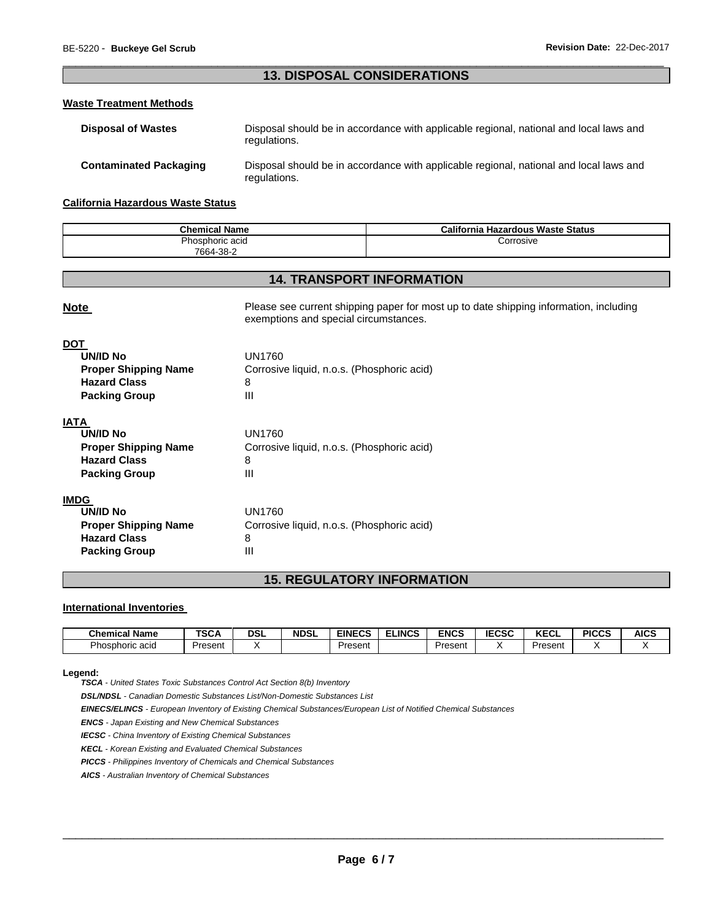## \_\_\_\_\_\_\_\_\_\_\_\_\_\_\_\_\_\_\_\_\_\_\_\_\_\_\_\_\_\_\_\_\_\_\_\_\_\_\_\_\_\_\_\_\_\_\_\_\_\_\_\_\_\_\_\_\_\_\_\_\_\_\_\_\_\_\_\_\_\_\_\_\_\_\_\_\_\_\_\_\_\_\_\_\_\_\_\_\_\_\_\_\_ **13. DISPOSAL CONSIDERATIONS**

#### **Waste Treatment Methods**

| <b>Disposal of Wastes</b>     | Disposal should be in accordance with applicable regional, national and local laws and<br>regulations. |
|-------------------------------|--------------------------------------------------------------------------------------------------------|
| <b>Contaminated Packaging</b> | Disposal should be in accordance with applicable regional, national and local laws and<br>regulations. |

#### **California Hazardous Waste Status**

| <b>Chemical Name</b> | California Hazardous Waste Status |
|----------------------|-----------------------------------|
| Phosphoric acid      | Corrosive                         |
| 7664-38-2            |                                   |

## **14. TRANSPORT INFORMATION**

| <b>Note</b>                                                                                                  | Please see current shipping paper for most up to date shipping information, including<br>exemptions and special circumstances. |
|--------------------------------------------------------------------------------------------------------------|--------------------------------------------------------------------------------------------------------------------------------|
| <b>DOT</b><br><b>UN/ID No</b><br><b>Proper Shipping Name</b><br><b>Hazard Class</b><br><b>Packing Group</b>  | <b>UN1760</b><br>Corrosive liquid, n.o.s. (Phosphoric acid)<br>8<br>III                                                        |
| <b>IATA</b><br>UN/ID No<br><b>Proper Shipping Name</b><br><b>Hazard Class</b><br><b>Packing Group</b>        | <b>UN1760</b><br>Corrosive liquid, n.o.s. (Phosphoric acid)<br>8<br>III                                                        |
| <b>IMDG</b><br><b>UN/ID No</b><br><b>Proper Shipping Name</b><br><b>Hazard Class</b><br><b>Packing Group</b> | <b>UN1760</b><br>Corrosive liquid, n.o.s. (Phosphoric acid)<br>8<br>Ш                                                          |

# **15. REGULATORY INFORMATION**

## **International Inventories**

| <b>Chemical Name</b> | TOO A<br>งษ | DSL | <b>NDSL</b> | <b>EINECS</b> | LINCS | <b>ENCS</b> | <b>IECSC</b> | I/T<br>ncul | <b>PICCS</b> | <b>AICS</b> |
|----------------------|-------------|-----|-------------|---------------|-------|-------------|--------------|-------------|--------------|-------------|
| Phosphoric<br>acio   | Present     |     |             | Present       |       | Present     |              | Present     |              |             |

#### **Legend:**

*TSCA - United States Toxic Substances Control Act Section 8(b) Inventory* 

*DSL/NDSL - Canadian Domestic Substances List/Non-Domestic Substances List* 

*EINECS/ELINCS - European Inventory of Existing Chemical Substances/European List of Notified Chemical Substances* 

*ENCS - Japan Existing and New Chemical Substances* 

*IECSC - China Inventory of Existing Chemical Substances* 

*KECL - Korean Existing and Evaluated Chemical Substances* 

*PICCS - Philippines Inventory of Chemicals and Chemical Substances* 

*AICS - Australian Inventory of Chemical Substances*